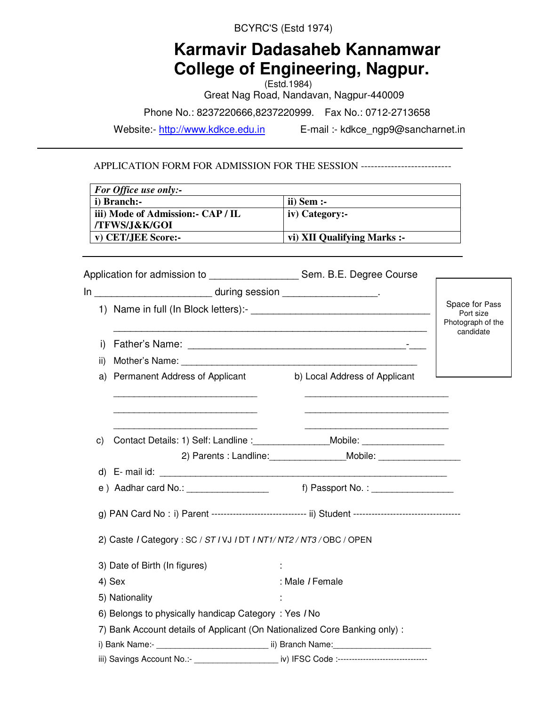BCYRC'S (Estd 1974)

# **Karmavir Dadasaheb Kannamwar College of Engineering, Nagpur.**

(Estd.1984) Great Nag Road, Nandavan, Nagpur-440009

Phone No.: 8237220666,8237220999. Fax No.: 0712-2713658

Website:- http://www.kdkce.edu.in E-mail :- kdkce\_ngp9@sancharnet.in

APPLICATION FORM FOR ADMISSION FOR THE SESSION ----------------------------------

| <b>For Office use only:-</b>       |                             |
|------------------------------------|-----------------------------|
| i) Branch:-                        | $ii)$ Sem :-                |
| iii) Mode of Admission: - CAP / IL | iv) Category:-              |
| /TFWS/J&K/GOI                      |                             |
| v) CET/JEE Score:-                 | vi) XII Qualifying Marks :- |

|     |                                                                           | Application for admission to ______________________ Sem. B.E. Degree Course                                    |                                                               |
|-----|---------------------------------------------------------------------------|----------------------------------------------------------------------------------------------------------------|---------------------------------------------------------------|
|     | In ____________________________ during session __________________________ |                                                                                                                |                                                               |
|     |                                                                           |                                                                                                                | Space for Pass<br>Port size<br>Photograph of the<br>candidate |
| i)  |                                                                           |                                                                                                                |                                                               |
| ii) |                                                                           |                                                                                                                |                                                               |
| a)  |                                                                           | Permanent Address of Applicant b) Local Address of Applicant                                                   |                                                               |
|     |                                                                           |                                                                                                                |                                                               |
| C)  |                                                                           |                                                                                                                |                                                               |
|     |                                                                           | 2) Parents : Landline: _______________________Mobile: __________________________                               |                                                               |
|     |                                                                           |                                                                                                                |                                                               |
|     |                                                                           |                                                                                                                |                                                               |
|     |                                                                           | g) PAN Card No : i) Parent ------------------------------ ii) Student -----------------------------------      |                                                               |
|     | 2) Caste / Category: SC / ST / VJ / DT / NT1/ NT2 / NT3 / OBC / OPEN      |                                                                                                                |                                                               |
|     | 3) Date of Birth (In figures)                                             |                                                                                                                |                                                               |
|     | 4) Sex                                                                    | : Male / Female                                                                                                |                                                               |
|     | 5) Nationality                                                            |                                                                                                                |                                                               |
|     | 6) Belongs to physically handicap Category: Yes / No                      |                                                                                                                |                                                               |
|     | 7) Bank Account details of Applicant (On Nationalized Core Banking only): |                                                                                                                |                                                               |
|     |                                                                           |                                                                                                                |                                                               |
|     |                                                                           | iii) Savings Account No.:- ___________________________________ iv) IFSC Code :-------------------------------- |                                                               |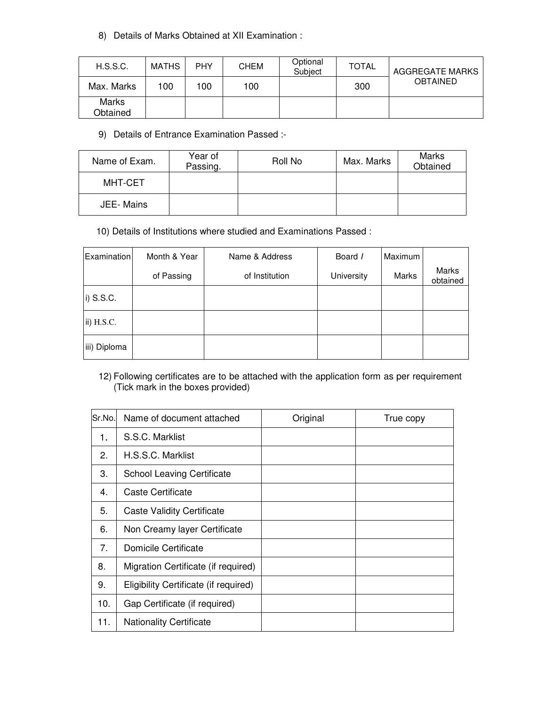# 8) Details of Marks Obtained at XII Examination :

| H.S.S.C.                 | <b>MATHS</b> | <b>PHY</b> | <b>CHEM</b> | Optional<br>Subiect | TOTAL | <b>AGGREGATE MARKS</b> |
|--------------------------|--------------|------------|-------------|---------------------|-------|------------------------|
| Max. Marks               | 100          | 100        | 100         |                     | 300   | <b>OBTAINED</b>        |
| <b>Marks</b><br>Obtained |              |            |             |                     |       |                        |

9) Details of Entrance Examination Passed :-

| Name of Exam.    | Year of<br>Passing. | Roll No | Max. Marks | Marks<br>Obtained |
|------------------|---------------------|---------|------------|-------------------|
| MHT-CET          |                     |         |            |                   |
| <b>JEE-Mains</b> |                     |         |            |                   |

10) Details of Institutions where studied and Examinations Passed :

| Examination  | Month & Year | Name & Address | Board /    | Maximum |                   |
|--------------|--------------|----------------|------------|---------|-------------------|
|              | of Passing   | of Institution | University | Marks   | Marks<br>obtained |
| i) S.S.C.    |              |                |            |         |                   |
| ii) H.S.C.   |              |                |            |         |                   |
| iii) Diploma |              |                |            |         |                   |

# 12) Following certificates are to be attached with the application form as per requirement (Tick mark in the boxes provided)

| Sr.No. | Name of document attached             | Original | True copy |
|--------|---------------------------------------|----------|-----------|
| 1.     | S.S.C. Marklist                       |          |           |
| 2.     | H.S.S.C. Marklist                     |          |           |
| 3.     | <b>School Leaving Certificate</b>     |          |           |
| 4.     | Caste Certificate                     |          |           |
| 5.     | <b>Caste Validity Certificate</b>     |          |           |
| 6.     | Non Creamy layer Certificate          |          |           |
| 7.     | Domicile Certificate                  |          |           |
| 8.     | Migration Certificate (if required)   |          |           |
| 9.     | Eligibility Certificate (if required) |          |           |
| 10.    | Gap Certificate (if required)         |          |           |
| 11.    | <b>Nationality Certificate</b>        |          |           |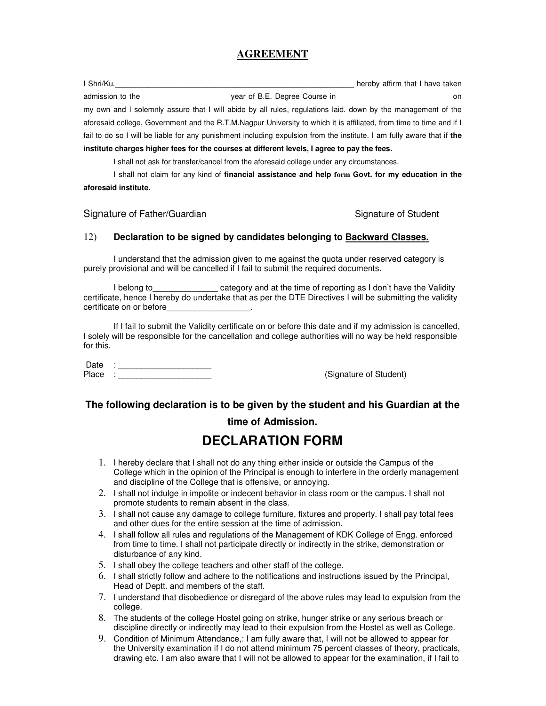# **AGREEMENT**

| I Shri/Ku.                                                                                                             |                                                                                      | hereby affirm that I have taken |
|------------------------------------------------------------------------------------------------------------------------|--------------------------------------------------------------------------------------|---------------------------------|
| admission to the analysis of the state of the state of the state of the state of the state of the state of the         | year of B.E. Degree Course in <b>container the contract of B.E.</b> Degree Course in | on                              |
| my own and I solemnly assure that I will abide by all rules, regulations laid, down by the management of the           |                                                                                      |                                 |
| aforesaid college, Government and the R.T.M.Nagpur University to which it is affiliated, from time to time and if I    |                                                                                      |                                 |
| fail to do so I will be liable for any punishment including expulsion from the institute. I am fully aware that if the |                                                                                      |                                 |
| institute charges higher fees for the courses at different levels, I agree to pay the fees.                            |                                                                                      |                                 |

I shall not ask for transfer/cancel from the aforesaid college under any circumstances.

 I shall not claim for any kind of **financial assistance and help form Govt. for my education in the aforesaid institute.** 

Signature of Father/Guardian Signature of Student

#### 12) **Declaration to be signed by candidates belonging to Backward Classes.**

I understand that the admission given to me against the quota under reserved category is purely provisional and will be cancelled if I fail to submit the required documents.

I belong to Theorem 2 category and at the time of reporting as I don't have the Validity certificate, hence I hereby do undertake that as per the DTE Directives I will be submitting the validity certificate on or before\_\_\_\_\_\_\_\_\_\_\_\_\_\_\_\_\_\_.

 If I fail to submit the Validity certificate on or before this date and if my admission is cancelled, I solely will be responsible for the cancellation and college authorities will no way be held responsible for this.

Date :  $\overline{\phantom{a}}$  Place :

(Signature of Student)

# **The following declaration is to be given by the student and his Guardian at the**

# **time of Admission.**

# **DECLARATION FORM**

- 1. I hereby declare that I shall not do any thing either inside or outside the Campus of the College which in the opinion of the Principal is enough to interfere in the orderly management and discipline of the College that is offensive, or annoying.
- 2. I shall not indulge in impolite or indecent behavior in class room or the campus. I shall not promote students to remain absent in the class.
- 3. I shall not cause any damage to college furniture, fixtures and property. I shall pay total fees and other dues for the entire session at the time of admission.
- 4. I shall follow all rules and regulations of the Management of KDK College of Engg. enforced from time to time. I shall not participate directly or indirectly in the strike, demonstration or disturbance of any kind.
- 5. I shall obey the college teachers and other staff of the college.
- 6. I shall strictly follow and adhere to the notifications and instructions issued by the Principal, Head of Deptt. and members of the staff.
- 7. I understand that disobedience or disregard of the above rules may lead to expulsion from the college.
- 8. The students of the college Hostel going on strike, hunger strike or any serious breach or discipline directly or indirectly may lead to their expulsion from the Hostel as well as College.
- 9. Condition of Minimum Attendance,: I am fully aware that, I will not be allowed to appear for the University examination if I do not attend minimum 75 percent classes of theory, practicals, drawing etc. I am also aware that I will not be allowed to appear for the examination, if I fail to